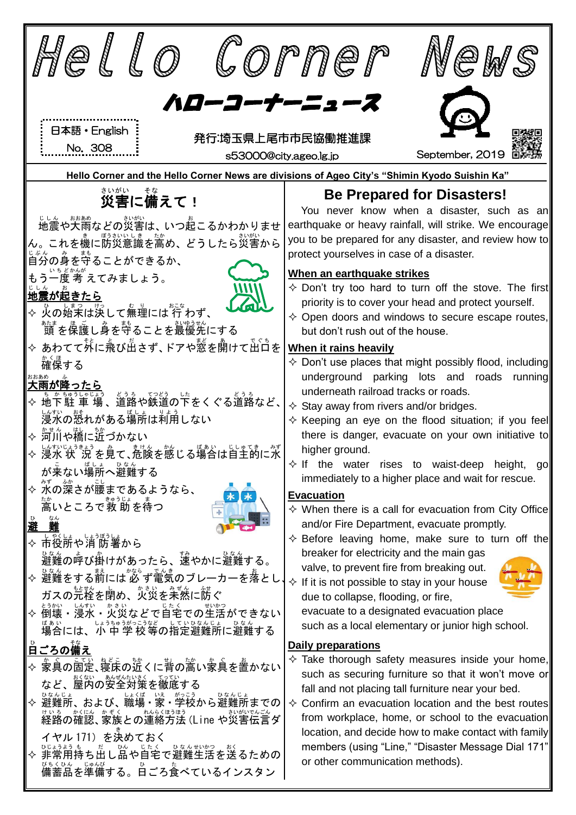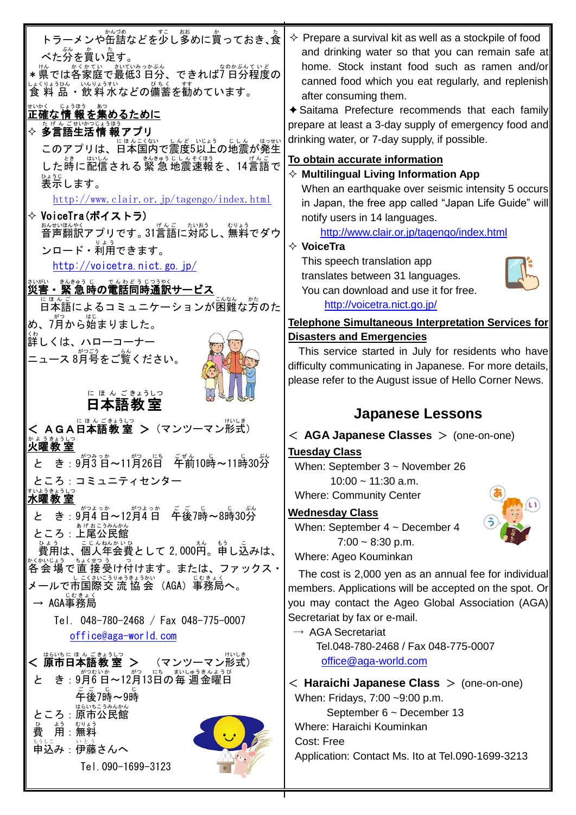| トラーメンや缶詰などを少し <sup>参</sup> めに賞っておき、食<br>べた分を賞い定す。<br>* 県では各家庭で最低3 日分、できれば <sup>7 命がないと</sup> の<br>正確な 情 報 を集めるために<br>✧ 多言語生活 情 報アプリ<br>した時に配信される緊急地震速報を、<br>。。。。<br><b>表示します。</b><br>http://www.clair.or.jp/tagengo/index.html<br>✧ VoiceTra(ボイストラ)<br>*^*い <u>*</u> ^*<<br>音声翻訳アプリです。31言語に対応し、無料でダウ<br>ンロード・利用できます。<br>http://voicetra.nict.go.jp/<br>いか、 <sub>きをきるらし、でんわどうじつうやく<br/><b>災害・緊 急時の電話同時通訳サービス</b></sub><br>日本語によるコミュニケーションが困難な方のた<br>め、7月から始まりました。<br>詳しくは、ハローコーナー<br>ニュース 8月号をご覧ください。<br>∊ <sub>ほんごきょうしつ</sub><br><b>日本語教室</b>                                  | $\diamond$ Prepare a survival kit as well as a stockpile of food<br>and drinking water so that you can remain safe at<br>home. Stock instant food such as ramen and/or<br>canned food which you eat regularly, and replenish<br>after consuming them.<br>◆ Saitama Prefecture recommends that each family<br>prepare at least a 3-day supply of emergency food and<br>drinking water, or 7-day supply, if possible.<br>To obtain accurate information<br>$\diamond$ Multilingual Living Information App<br>When an earthquake over seismic intensity 5 occurs<br>in Japan, the free app called "Japan Life Guide" will<br>notify users in 14 languages.<br>http://www.clair.or.jp/tagengo/index.html<br>$\Diamond$ VoiceTra<br>This speech translation app<br>translates between 31 languages.<br>You can download and use it for free.<br>http://voicetra.nict.go.jp/<br><b>Telephone Simultaneous Interpretation Services for</b><br><b>Disasters and Emergencies</b><br>This service started in July for residents who have<br>difficulty communicating in Japanese. For more details,<br>please refer to the August issue of Hello Corner News. |
|--------------------------------------------------------------------------------------------------------------------------------------------------------------------------------------------------------------------------------------------------------------------------------------------------------------------------------------------------------------------------------------------------------------------------------------------------------------------------------------------------------------------------------------------------------------------------------|-----------------------------------------------------------------------------------------------------------------------------------------------------------------------------------------------------------------------------------------------------------------------------------------------------------------------------------------------------------------------------------------------------------------------------------------------------------------------------------------------------------------------------------------------------------------------------------------------------------------------------------------------------------------------------------------------------------------------------------------------------------------------------------------------------------------------------------------------------------------------------------------------------------------------------------------------------------------------------------------------------------------------------------------------------------------------------------------------------------------------------------------------------|
| _ にほんごきょういっ<br><b>A日本語教 室 &gt;</b> (マンツーマン形式)                                                                                                                                                                                                                                                                                                                                                                                                                                                                                                                                  | <b>Japanese Lessons</b>                                                                                                                                                                                                                                                                                                                                                                                                                                                                                                                                                                                                                                                                                                                                                                                                                                                                                                                                                                                                                                                                                                                             |
|                                                                                                                                                                                                                                                                                                                                                                                                                                                                                                                                                                                | $<$ AGA Japanese Classes $>$ (one-on-one)                                                                                                                                                                                                                                                                                                                                                                                                                                                                                                                                                                                                                                                                                                                                                                                                                                                                                                                                                                                                                                                                                                           |
| がつみっか<br>ぷん<br>き: 9月3日~11月26日 午前10時~11時30分<br>ところ:コミュニティセンター<br>ひょうきょうしつ<br>水曜教室<br>_<br>:9月4 日~12月4 日 午後7時~8時30分<br>ぁゖぉ <u>゠ぅ</u> ゎんゕん<br><b>上尾公民館</b><br>ろ :<br><sub>じんねんい</sub> 。<br>ब人年会費として 2,000円。申し込みは、<br>費用は、<br>谷 会 場で 直 接 受け付けます。または、ファックス・<br>メールで市国際交 流 協 会 (AGA)事務局へ。<br>→ AGA事務局<br>Tel. 048-780-2468 / Fax 048-775-0007<br>office@aga-world.com<br>はらいちにほんごきょうしつ<br>けいしき<br>< 原市日本語教 室<br>(マンツーマン形式)<br>><br>まいしゅうきんようび<br>き: 9月6日~12月13日の毎週金曜日<br>と<br>午後7時~9時<br>ころ: 原市公民館<br>黄<br>ょぅ むりょう<br><b>用</b> :無料<br>むりょう<br>もうし<br>申込み:伊藤さんへ<br>Tel. 090-1699-3123 | <b>Tuesday Class</b><br>When: September $3 \sim$ November 26<br>$10:00 \sim 11:30$ a.m.<br><b>Where: Community Center</b><br><b>Wednesday Class</b><br>When: September $4 \sim$ December 4<br>$7:00 \sim 8:30$ p.m.<br>Where: Ageo Kouminkan<br>The cost is 2,000 yen as an annual fee for individual<br>members. Applications will be accepted on the spot. Or<br>you may contact the Ageo Global Association (AGA)<br>Secretariat by fax or e-mail.<br>$\rightarrow$ AGA Secretariat<br>Tel.048-780-2468 / Fax 048-775-0007<br>office@aga-world.com<br>$<$ Haraichi Japanese Class $>$ (one-on-one)<br>When: Fridays, 7:00 ~9:00 p.m.<br>September 6 ~ December 13<br>Where: Haraichi Kouminkan<br>Cost: Free<br>Application: Contact Ms. Ito at Tel.090-1699-3213                                                                                                                                                                                                                                                                                                                                                                                |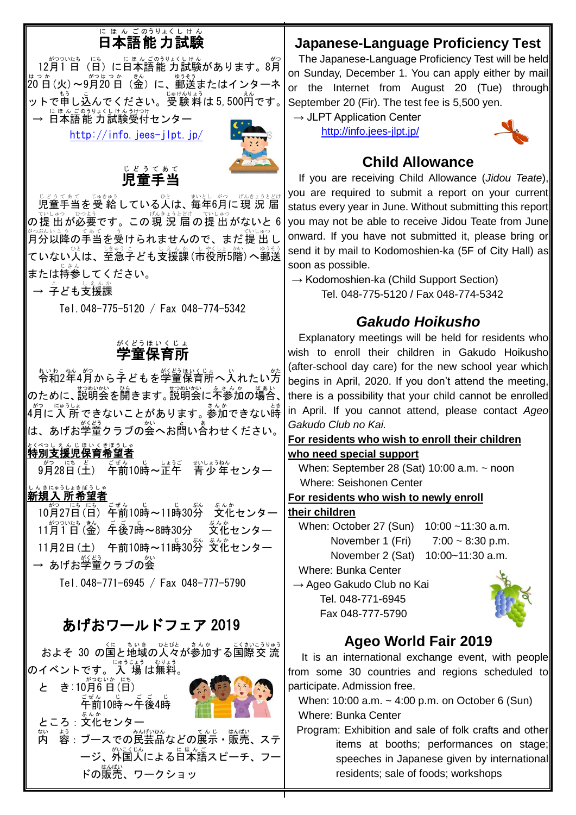# にほんごのうりょくし けん<br>**日本語能力試験**

12月 がつ 1 日 ついたち (日 にち )に日本語 にほんご 能 力 のうりょく 試験 しけん があります。8月 がつ はっ<sub>ゕ</sub><br>20 日 (火) 〜9月20 日(金)に、郵送またはインターネ ットで申し込んでください。受験 料は 5,500円です。 → 日本語能 力試験受付センター

<http://info.jees-jlpt.jp/>



# <sub>じどうてあて</sub><br>**児童手当**

☆という。<br>児童手当を受 給している人は、毎年6月に 現 況 届 の提 出 ていしゅつ が必要 ひつよう です。この現 況 届 げんきょうとどけ の提 出 ていしゅつ がないと 6 <sub>がっぷぃこう</sub><br>月分以降の手当を受けられませんので、まだ 提 出 し ていない人は、達意子ども支援課 (市役所5階) へ郵送 または持参してください。

 $\rightarrow$  テども支援課

Tel.048-775-5120 / Fax 048-774-5342

# 学童 がくどう 保育所 ほ い く じ ょ

令和 れいわ 2年 ねん 4月 がつ から子 こ どもを学童 がくどう 保育所 ほいくじょ へ入 い れたい方 かた のために、説明会ます。説明会に不参加の場合、 ▲\*? □ □ ◎うしょ<br>4月に入 所 できないことがあります。 参加できない時 は、あげお学童クラブの会へお問い $\mathring{\mathsf{E}}$ いよわせください。

#### をくべっしぇ んじほいくきぼうしゃ<br>**特別支援児保育希望者**

9月 がつ 28日 にち (土 ど ) 午前 ごぜん 10時 じ ~正午 しょうご 青少年 せいしょうねん センター

#### 新規 入 所 希望者 しんき にゅうしょ きぼうしゃ

10月27日(日) 午前10時~11時30分 文化センター 11月 がつ 1 日 ついたち (金 きん ) 午後 ご ご 7時 じ ~8時30分 文化 。。。<br>文化センター 11月2日(土) 午前10時~11時30労 交化センター → あげお学童クラブの会

Tel.048-771-6945 / Fax 048-777-5790

## あげおワールドフェア 2019

およそ 30 の国と地域の人々が参加する国際交 流 のイベントです。 人 場 は無料。

| と き:10月6日(日)<br><sub>てぜんのじ</sub><br>午前10時〜午後4時                        |
|-----------------------------------------------------------------------|
| ぶんか<br>ところ: 文化センター<br>。。<br>容 : ブースでの民芸品などの展示・販売、ステ<br>ない<br><b>内</b> |
| ージ、 <sup>がいこくじん</sup><br>ージ、外国人による日本語スピーチ、フー<br>はんばい<br>ドの販売、ワークショッ   |

#### **Japanese-Language Proficiency Test**

 The Japanese-Language Proficiency Test will be held on Sunday, December 1. You can apply either by mail or the Internet from August 20 (Tue) through September 20 (Fir). The test fee is 5,500 yen.

 $\rightarrow$  JLPT Application Center <http://info.jees-jlpt.jp/>



## **Child Allowance**

If you are receiving Child Allowance (*Jidou Teate*), you are required to submit a report on your current status every year in June. Without submitting this report you may not be able to receive Jidou Teate from June onward. If you have not submitted it, please bring or send it by mail to Kodomoshien-ka (5F of City Hall) as soon as possible.

 $\rightarrow$  Kodomoshien-ka (Child Support Section) Tel. 048-775-5120 / Fax 048-774-5342

## *Gakudo Hoikusho*

Explanatory meetings will be held for residents who wish to enroll their children in Gakudo Hoikusho (after-school day care) for the new school year which begins in April, 2020. If you don't attend the meeting, there is a possibility that your child cannot be enrolled in April. If you cannot attend, please contact *Ageo Gakudo Club no Kai.* 

#### **For residents who wish to enroll their children who need special support**

When: September 28 (Sat) 10:00 a.m. ~ noon Where: Seishonen Center

#### **For residents who wish to newly enroll**

#### **their children**

When: October 27 (Sun) 10:00 ~11:30 a.m. November 1 (Fri)  $7:00 \sim 8:30 \text{ p.m.}$ November 2 (Sat) 10:00~11:30 a.m.

Where: Bunka Center

→ Ageo Gakudo Club no Kai Tel. 048-771-6945 Fax 048-777-5790



## **Ageo World Fair 2019**

It is an international exchange event, with people from some 30 countries and regions scheduled to participate. Admission free.

When: 10:00 a.m. ~ 4:00 p.m. on October 6 (Sun) Where: Bunka Center

Program: Exhibition and sale of folk crafts and other items at booths; performances on stage; speeches in Japanese given by international residents; sale of foods; workshops